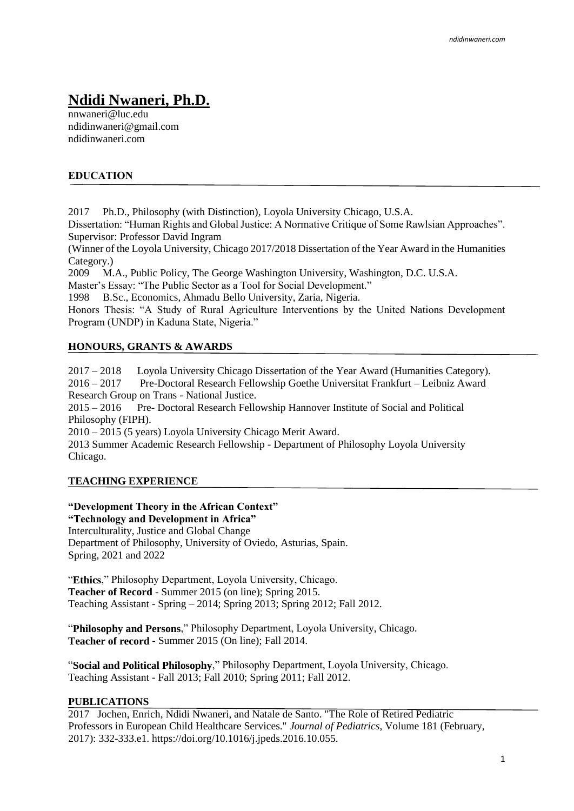# **Ndidi Nwaneri, Ph.D.**

nnwaneri@luc.edu ndidinwaneri@gmail.com ndidinwaneri.com

### **EDUCATION**

2017 Ph.D., Philosophy (with Distinction), Loyola University Chicago, U.S.A.

Dissertation: "Human Rights and Global Justice: A Normative Critique of Some Rawlsian Approaches". Supervisor: Professor David Ingram

(Winner of the Loyola University, Chicago 2017/2018 Dissertation of the Year Award in the Humanities Category.)

2009 M.A., Public Policy, The George Washington University, Washington, D.C. U.S.A.

Master's Essay: "The Public Sector as a Tool for Social Development."

1998 B.Sc., Economics, Ahmadu Bello University, Zaria, Nigeria.

Honors Thesis: "A Study of Rural Agriculture Interventions by the United Nations Development Program (UNDP) in Kaduna State, Nigeria."

#### **HONOURS, GRANTS & AWARDS**

2017 – 2018 Loyola University Chicago Dissertation of the Year Award (Humanities Category). 2016 – 2017 Pre-Doctoral Research Fellowship Goethe Universitat Frankfurt – Leibniz Award Research Group on Trans - National Justice. 2015 – 2016 Pre- Doctoral Research Fellowship Hannover Institute of Social and Political Philosophy (FIPH). 2010 – 2015 (5 years) Loyola University Chicago Merit Award. 2013 Summer Academic Research Fellowship - Department of Philosophy Loyola University

Chicago.

#### **TEACHING EXPERIENCE**

# **"Development Theory in the African Context"**

**"Technology and Development in Africa"** Interculturality, Justice and Global Change Department of Philosophy, University of Oviedo, Asturias, Spain. Spring, 2021 and 2022

"**Ethics**," Philosophy Department, Loyola University, Chicago. **Teacher of Record** - Summer 2015 (on line); Spring 2015. Teaching Assistant - Spring – 2014; Spring 2013; Spring 2012; Fall 2012.

"**Philosophy and Persons**," Philosophy Department, Loyola University, Chicago. **Teacher of record** - Summer 2015 (On line); Fall 2014.

"**Social and Political Philosophy**," Philosophy Department, Loyola University, Chicago. Teaching Assistant - Fall 2013; Fall 2010; Spring 2011; Fall 2012.

#### **PUBLICATIONS**

2017 Jochen, Enrich, Ndidi Nwaneri, and Natale de Santo. "The Role of Retired Pediatric Professors in European Child Healthcare Services." *Journal of Pediatrics*, Volume 181 (February, 2017): 332-333.e1. https://doi.org/10.1016/j.jpeds.2016.10.055.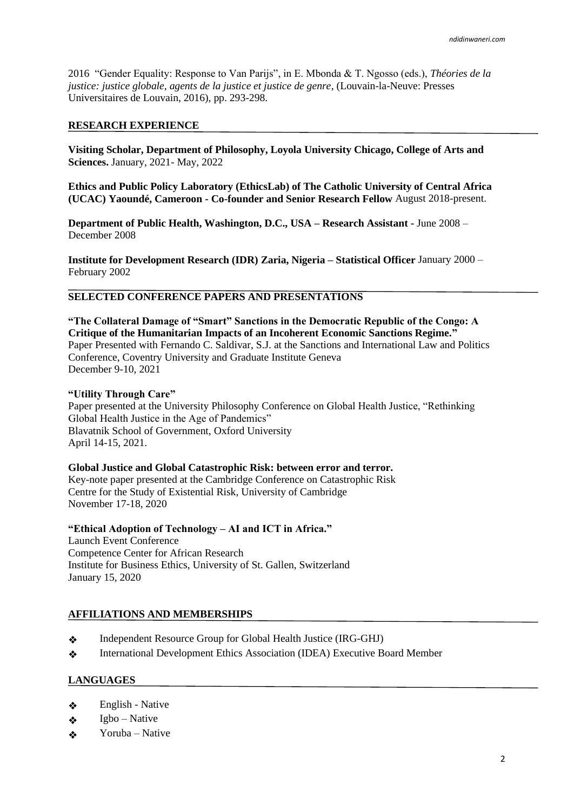2016 "Gender Equality: Response to Van Parijs", in E. Mbonda & T. Ngosso (eds.), *Théories de la justice: justice globale, agents de la justice et justice de genre*, (Louvain-la-Neuve: Presses Universitaires de Louvain, 2016), pp. 293-298.

#### **RESEARCH EXPERIENCE**

**Visiting Scholar, Department of Philosophy, Loyola University Chicago, College of Arts and Sciences.** January, 2021- May, 2022

**Ethics and Public Policy Laboratory (EthicsLab) of The Catholic University of Central Africa (UCAC) Yaoundé, Cameroon - Co-founder and Senior Research Fellow** August 2018-present.

**Department of Public Health, Washington, D.C., USA – Research Assistant -** June 2008 – December 2008

**Institute for Development Research (IDR) Zaria, Nigeria – Statistical Officer** January 2000 – February 2002

# **SELECTED CONFERENCE PAPERS AND PRESENTATIONS**

**"The Collateral Damage of "Smart" Sanctions in the Democratic Republic of the Congo: A Critique of the Humanitarian Impacts of an Incoherent Economic Sanctions Regime."** Paper Presented with Fernando C. Saldivar, S.J. at the Sanctions and International Law and Politics Conference, Coventry University and Graduate Institute Geneva December 9-10, 2021

#### **"Utility Through Care"**

Paper presented at the University Philosophy Conference on Global Health Justice, "Rethinking Global Health Justice in the Age of Pandemics" Blavatnik School of Government, Oxford University April 14-15, 2021.

#### **Global Justice and Global Catastrophic Risk: between error and terror.**

Key-note paper presented at the Cambridge Conference on Catastrophic Risk Centre for the Study of Existential Risk, University of Cambridge November 17-18, 2020

**"Ethical Adoption of Technology – AI and ICT in Africa."** 

Launch Event Conference Competence Center for African Research Institute for Business Ethics, University of St. Gallen, Switzerland January 15, 2020

#### **AFFILIATIONS AND MEMBERSHIPS**

- ❖ Independent Resource Group for Global Health Justice (IRG-GHJ)
- ❖ International Development Ethics Association (IDEA) Executive Board Member

#### **LANGUAGES**

- ❖ English - Native
- ❖ Igbo – Native
- ❖ Yoruba – Native